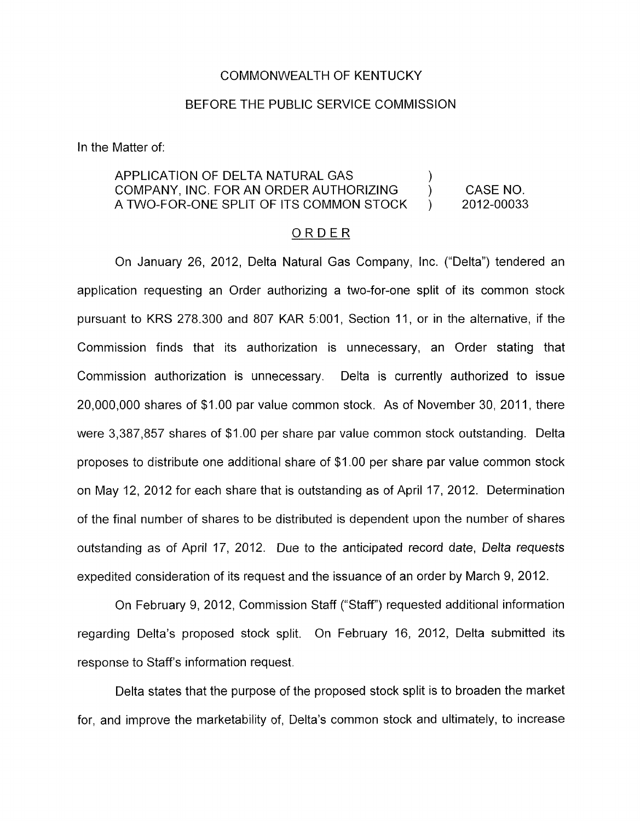## COMMONWEALTH OF KENTUCKY

## BEFORE THE PUBLIC SERVICE COMMISSION

In the Matter of:

## APPLICATION OF DELTA NATURAL GAS COMPANY, INC. FOR AN ORDER AUTHORIZING ) CASE NO. A TWO-FOR-ONE SPLIT OF ITS COMMON STOCK ) 2012-00033 )

## ORDER

On January 26, 2012, Delta Natural Gas Company, Inc. ("Delta") tendered an application requesting an Order authorizing a two-for-one split of its common stock pursuant to KRS 278.300 and 807 KAR 5:001, Section 11, or in the alternative, if the Commission finds that its authorization is unnecessary, an Order stating that Commission authorization is unnecessary. Delta is currently authorized to issue 20,000,000 shares of \$1.00 par value common stock. As of November 30, 2011, there were 3,387,857 shares of \$1.00 per share par value common stock outstanding. Delta proposes to distribute one additional share of \$1 .OO per share par value common stock on May 12, 2012 for each share that is outstanding as of April 17, 2012. Determination of the final number of shares to be distributed is dependent upon the number of shares outstanding as of April 17, 2012. Due to the anticipated record date, Delta requests expedited consideration of its request and the issuance of an order by March 9, 2012.

On February 9, 2012, Commission Staff ("Staff") requested additional information regarding Delta's proposed stock split. On February 16, 2012, Delta submitted its response to Staff's information request.

Delta states that the purpose of the proposed stock split is to broaden the market for, and improve the marketability of, Delta's common stock and ultimately, to increase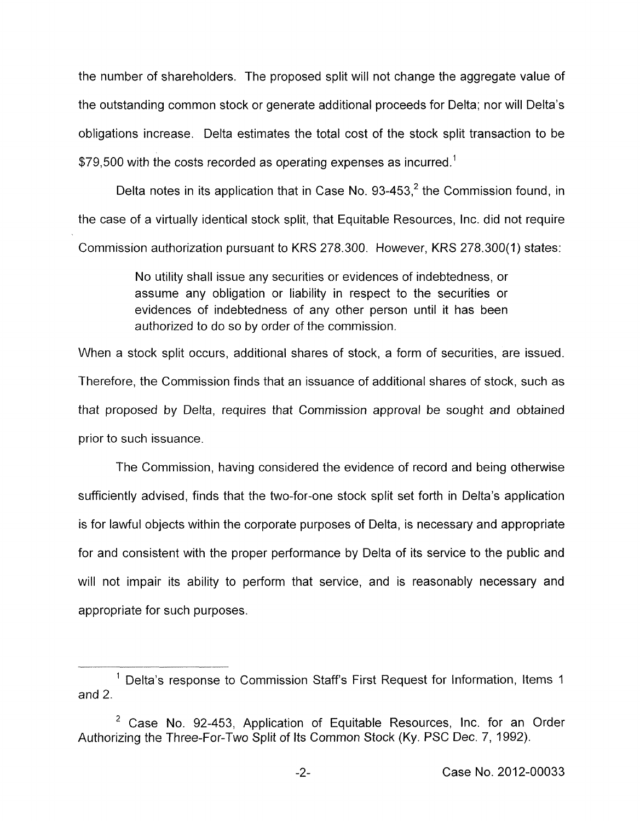the number of shareholders. The proposed split will not change the aggregate value of the outstanding common stock or generate additional proceeds for Delta; nor will Delta's obligations increase. Delta estimates the total cost of the stock split transaction to be \$79,500 with the costs recorded as operating expenses as incurred.<sup>1</sup>

Delta notes in its application that in Case No.  $93-453$ , the Commission found, in the case of a virtually identical stock split, that Equitable Resources, Inc. did not require Commission authorization pursuant to KRS 278.300. However, KRS 278.300( 1) states:

> No utility shall issue any securities or evidences of indebtedness, or assume any obligation or liability in respect to the securities or evidences of indebtedness of any other person until it has been authorized to do so by order of the commission.

When a stock split occurs, additional shares of stock, a form of securities, are issued. Therefore, the Commission finds that an issuance of additional shares of stock, such as that proposed by Delta, requires that Commission approval be sought and obtained prior to such issuance.

The Commission, having considered the evidence of record and being otherwise sufficiently advised, finds that the two-for-one stock split set forth in Delta's application is for lawful objects within the corporate purposes of Delta, is necessary and appropriate for and consistent with the proper performance by Delta of its service to the public and will not impair its ability to perform that service, and is reasonably necessary and appropriate for such purposes.

 $<sup>1</sup>$  Delta's response to Commission Staff's First Request for Information, Items 1</sup> and 2.

 $2$  Case No. 92-453, Application of Equitable Resources, Inc. for an Order Authorizing the Three-For-Two Split of Its Common Stock **(Ky.** PSC Dec. 7, 1992).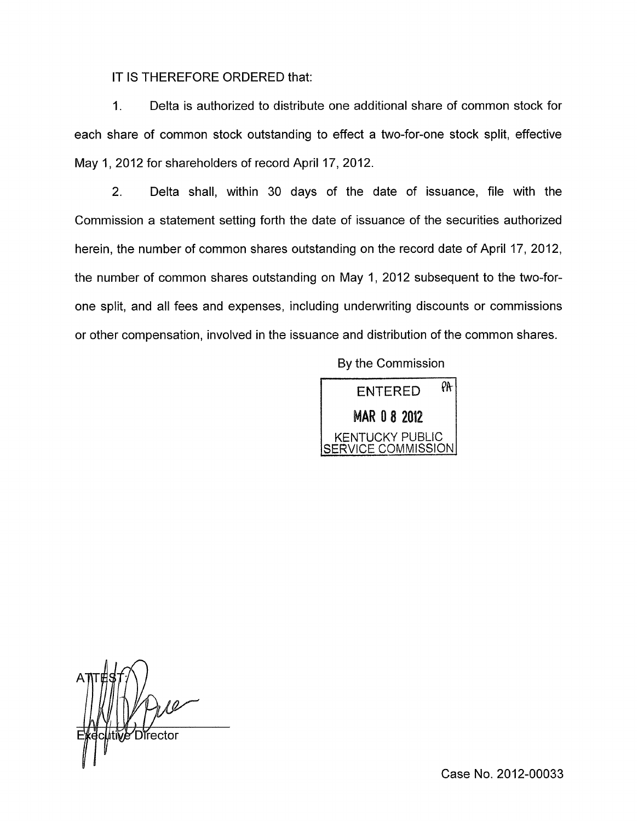IT IS THEREFORE ORDERED that:

1. Delta is authorized to distribute one additional share of common stock for each share of common stock outstanding to effect a two-for-one stock split, effective May 1, 2012 for shareholders of record April 17, 2012.

2. Delta shall, within 30 days of the date of issuance, file with the Commission a statement setting forth the date of issuance of the securities authorized herein, the number of common shares outstanding on the record date of April 17, 2012, the number of common shares outstanding on May 1, 2012 subsequent to the two-forone split, and all fees and expenses, including underwriting discounts or commissions or other compensation, involved in the issuance and distribution of the common shares.

By the Commission



Case No. 2012-00033